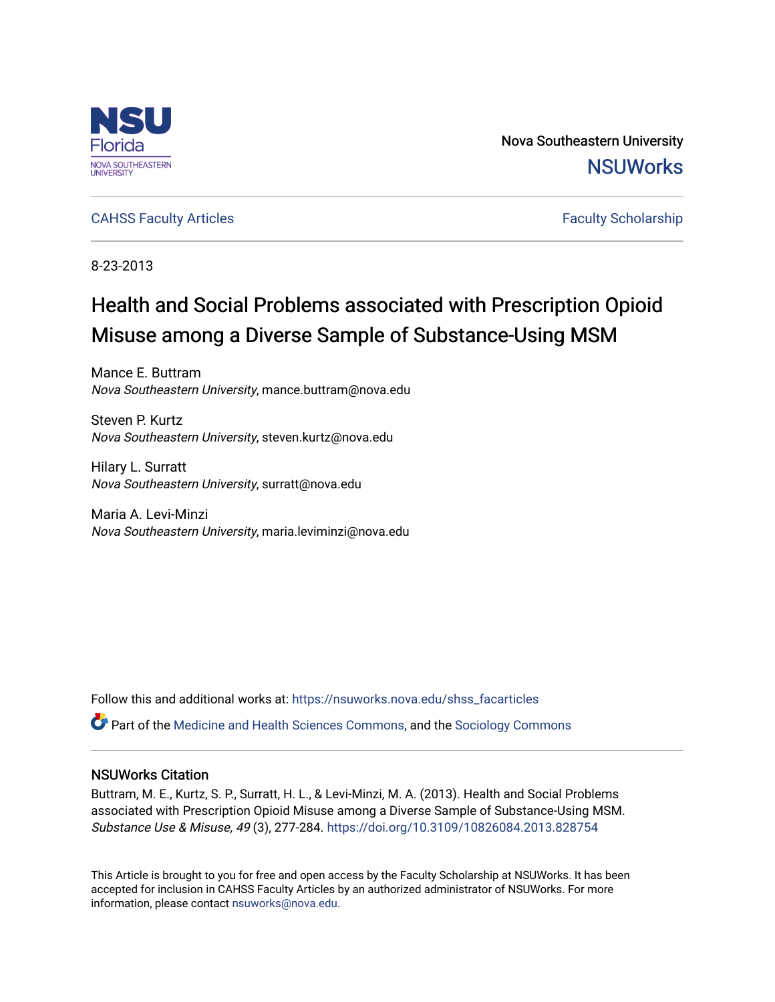

Nova Southeastern University **NSUWorks** 

# [CAHSS Faculty Articles](https://nsuworks.nova.edu/shss_facarticles) **Faculty Articles** Faculty Scholarship

8-23-2013

# Health and Social Problems associated with Prescription Opioid Misuse among a Diverse Sample of Substance-Using MSM

Mance E. Buttram Nova Southeastern University, mance.buttram@nova.edu

Steven P. Kurtz Nova Southeastern University, steven.kurtz@nova.edu

Hilary L. Surratt Nova Southeastern University, surratt@nova.edu

Maria A. Levi-Minzi Nova Southeastern University, maria.leviminzi@nova.edu

Follow this and additional works at: [https://nsuworks.nova.edu/shss\\_facarticles](https://nsuworks.nova.edu/shss_facarticles?utm_source=nsuworks.nova.edu%2Fshss_facarticles%2F237&utm_medium=PDF&utm_campaign=PDFCoverPages)  Part of the [Medicine and Health Sciences Commons,](http://network.bepress.com/hgg/discipline/648?utm_source=nsuworks.nova.edu%2Fshss_facarticles%2F237&utm_medium=PDF&utm_campaign=PDFCoverPages) and the [Sociology Commons](http://network.bepress.com/hgg/discipline/416?utm_source=nsuworks.nova.edu%2Fshss_facarticles%2F237&utm_medium=PDF&utm_campaign=PDFCoverPages) 

## NSUWorks Citation

Buttram, M. E., Kurtz, S. P., Surratt, H. L., & Levi-Minzi, M. A. (2013). Health and Social Problems associated with Prescription Opioid Misuse among a Diverse Sample of Substance-Using MSM. Substance Use & Misuse, 49 (3), 277-284.<https://doi.org/10.3109/10826084.2013.828754>

This Article is brought to you for free and open access by the Faculty Scholarship at NSUWorks. It has been accepted for inclusion in CAHSS Faculty Articles by an authorized administrator of NSUWorks. For more information, please contact [nsuworks@nova.edu.](mailto:nsuworks@nova.edu)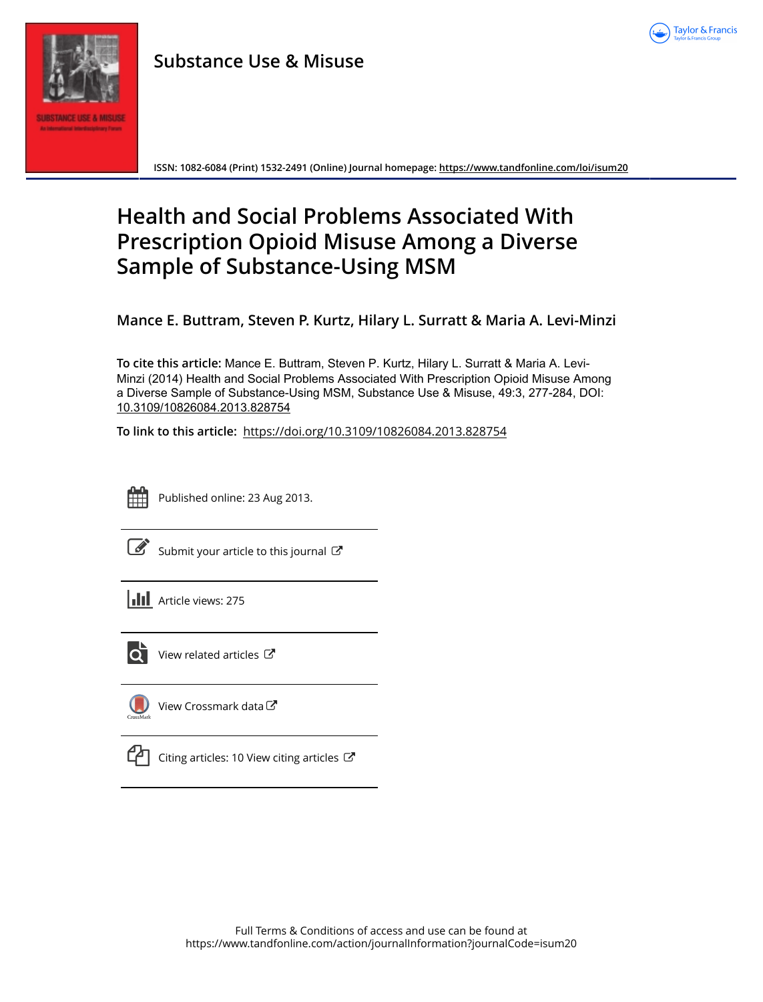



**ISSN: 1082-6084 (Print) 1532-2491 (Online) Journal homepage:<https://www.tandfonline.com/loi/isum20>**

# **Health and Social Problems Associated With Prescription Opioid Misuse Among a Diverse Sample of Substance-Using MSM**

**Mance E. Buttram, Steven P. Kurtz, Hilary L. Surratt & Maria A. Levi-Minzi**

**To cite this article:** Mance E. Buttram, Steven P. Kurtz, Hilary L. Surratt & Maria A. Levi-Minzi (2014) Health and Social Problems Associated With Prescription Opioid Misuse Among a Diverse Sample of Substance-Using MSM, Substance Use & Misuse, 49:3, 277-284, DOI: [10.3109/10826084.2013.828754](https://www.tandfonline.com/action/showCitFormats?doi=10.3109/10826084.2013.828754)

**To link to this article:** <https://doi.org/10.3109/10826084.2013.828754>



Published online: 23 Aug 2013.

|--|

[Submit your article to this journal](https://www.tandfonline.com/action/authorSubmission?journalCode=isum20&show=instructions)  $\mathbb{Z}$ 





 $\overrightarrow{Q}$  [View related articles](https://www.tandfonline.com/doi/mlt/10.3109/10826084.2013.828754)  $\overrightarrow{C}$ 



[View Crossmark data](http://crossmark.crossref.org/dialog/?doi=10.3109/10826084.2013.828754&domain=pdf&date_stamp=2013-08-23)<sup>で</sup>



[Citing articles: 10 View citing articles](https://www.tandfonline.com/doi/citedby/10.3109/10826084.2013.828754#tabModule)  $\mathbb{C}$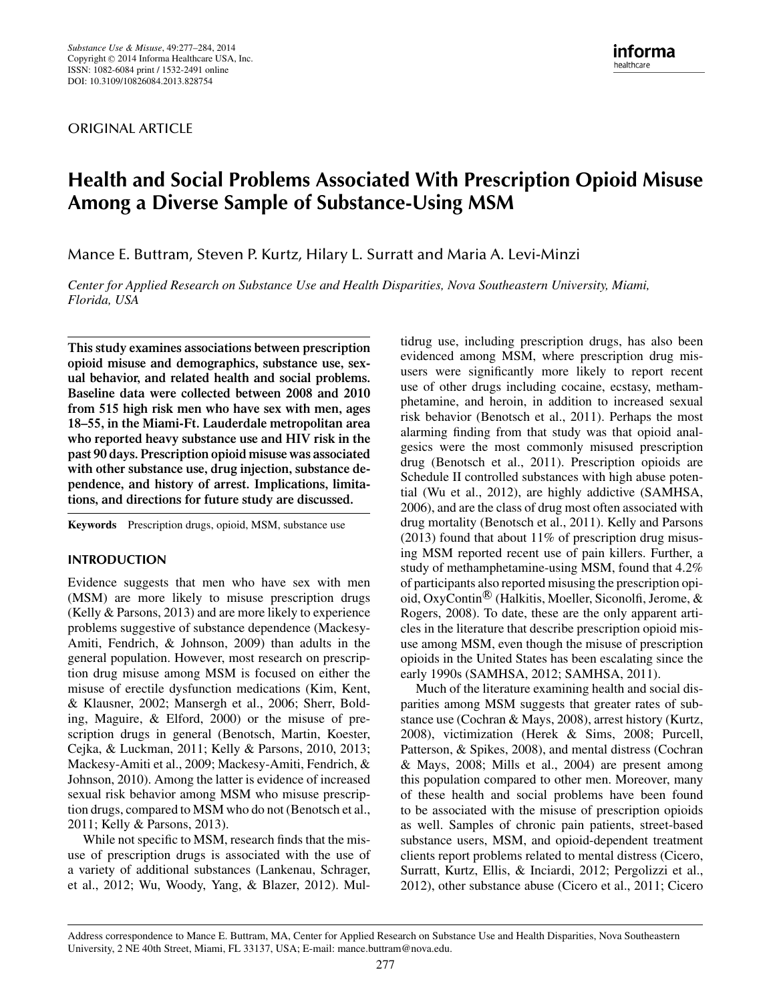ORIGINAL ARTICLE

# **Health and Social Problems Associated With Prescription Opioid Misuse Among a Diverse Sample of Substance-Using MSM**

Mance E. Buttram, Steven P. Kurtz, Hilary L. Surratt and Maria A. Levi-Minzi

*Center for Applied Research on Substance Use and Health Disparities, Nova Southeastern University, Miami, Florida, USA*

**This study examines associations between prescription opioid misuse and demographics, substance use, sexual behavior, and related health and social problems. Baseline data were collected between 2008 and 2010 from 515 high risk men who have sex with men, ages 18–55, in the Miami-Ft. Lauderdale metropolitan area who reported heavy substance use and HIV risk in the past 90 days. Prescription opioid misuse was associated with other substance use, drug injection, substance dependence, and history of arrest. Implications, limitations, and directions for future study are discussed.**

**Keywords** Prescription drugs, opioid, MSM, substance use

#### **INTRODUCTION**

Evidence suggests that men who have sex with men (MSM) are more likely to misuse prescription drugs (Kelly & Parsons, 2013) and are more likely to experience problems suggestive of substance dependence (Mackesy-Amiti, Fendrich, & Johnson, 2009) than adults in the general population. However, most research on prescription drug misuse among MSM is focused on either the misuse of erectile dysfunction medications (Kim, Kent, & Klausner, 2002; Mansergh et al., 2006; Sherr, Bolding, Maguire, & Elford, 2000) or the misuse of prescription drugs in general (Benotsch, Martin, Koester, Cejka, & Luckman, 2011; Kelly & Parsons, 2010, 2013; Mackesy-Amiti et al., 2009; Mackesy-Amiti, Fendrich, & Johnson, 2010). Among the latter is evidence of increased sexual risk behavior among MSM who misuse prescription drugs, compared to MSM who do not (Benotsch et al., 2011; Kelly & Parsons, 2013).

While not specific to MSM, research finds that the misuse of prescription drugs is associated with the use of a variety of additional substances (Lankenau, Schrager, et al., 2012; Wu, Woody, Yang, & Blazer, 2012). Multidrug use, including prescription drugs, has also been evidenced among MSM, where prescription drug misusers were significantly more likely to report recent use of other drugs including cocaine, ecstasy, methamphetamine, and heroin, in addition to increased sexual risk behavior (Benotsch et al., 2011). Perhaps the most alarming finding from that study was that opioid analgesics were the most commonly misused prescription drug (Benotsch et al., 2011). Prescription opioids are Schedule II controlled substances with high abuse potential (Wu et al., 2012), are highly addictive (SAMHSA, 2006), and are the class of drug most often associated with drug mortality (Benotsch et al., 2011). Kelly and Parsons  $(2013)$  found that about 11% of prescription drug misusing MSM reported recent use of pain killers. Further, a study of methamphetamine-using MSM, found that 4.2% of participants also reported misusing the prescription opioid, OxyContin® (Halkitis, Moeller, Siconolfi, Jerome, & Rogers, 2008). To date, these are the only apparent articles in the literature that describe prescription opioid misuse among MSM, even though the misuse of prescription opioids in the United States has been escalating since the early 1990s (SAMHSA, 2012; SAMHSA, 2011).

Much of the literature examining health and social disparities among MSM suggests that greater rates of substance use (Cochran & Mays, 2008), arrest history (Kurtz, 2008), victimization (Herek & Sims, 2008; Purcell, Patterson, & Spikes, 2008), and mental distress (Cochran & Mays, 2008; Mills et al., 2004) are present among this population compared to other men. Moreover, many of these health and social problems have been found to be associated with the misuse of prescription opioids as well. Samples of chronic pain patients, street-based substance users, MSM, and opioid-dependent treatment clients report problems related to mental distress (Cicero, Surratt, Kurtz, Ellis, & Inciardi, 2012; Pergolizzi et al., 2012), other substance abuse (Cicero et al., 2011; Cicero

Address correspondence to Mance E. Buttram, MA, Center for Applied Research on Substance Use and Health Disparities, Nova Southeastern University, 2 NE 40th Street, Miami, FL 33137, USA; E-mail: mance.buttram@nova.edu.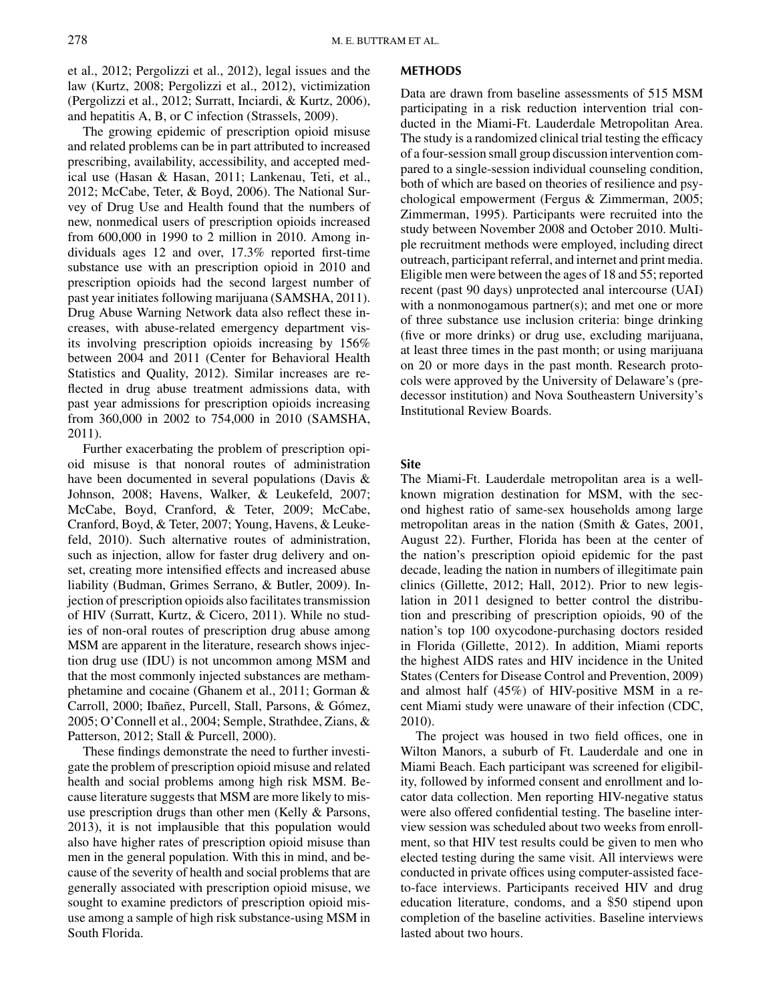et al., 2012; Pergolizzi et al., 2012), legal issues and the law (Kurtz, 2008; Pergolizzi et al., 2012), victimization (Pergolizzi et al., 2012; Surratt, Inciardi, & Kurtz, 2006), and hepatitis A, B, or C infection (Strassels, 2009).

The growing epidemic of prescription opioid misuse and related problems can be in part attributed to increased prescribing, availability, accessibility, and accepted medical use (Hasan & Hasan, 2011; Lankenau, Teti, et al., 2012; McCabe, Teter, & Boyd, 2006). The National Survey of Drug Use and Health found that the numbers of new, nonmedical users of prescription opioids increased from 600,000 in 1990 to 2 million in 2010. Among individuals ages 12 and over, 17.3% reported first-time substance use with an prescription opioid in 2010 and prescription opioids had the second largest number of past year initiates following marijuana (SAMSHA, 2011). Drug Abuse Warning Network data also reflect these increases, with abuse-related emergency department visits involving prescription opioids increasing by 156% between 2004 and 2011 (Center for Behavioral Health Statistics and Quality, 2012). Similar increases are reflected in drug abuse treatment admissions data, with past year admissions for prescription opioids increasing from 360,000 in 2002 to 754,000 in 2010 (SAMSHA, 2011).

Further exacerbating the problem of prescription opioid misuse is that nonoral routes of administration have been documented in several populations (Davis & Johnson, 2008; Havens, Walker, & Leukefeld, 2007; McCabe, Boyd, Cranford, & Teter, 2009; McCabe, Cranford, Boyd, & Teter, 2007; Young, Havens, & Leukefeld, 2010). Such alternative routes of administration, such as injection, allow for faster drug delivery and onset, creating more intensified effects and increased abuse liability (Budman, Grimes Serrano, & Butler, 2009). Injection of prescription opioids also facilitates transmission of HIV (Surratt, Kurtz, & Cicero, 2011). While no studies of non-oral routes of prescription drug abuse among MSM are apparent in the literature, research shows injection drug use (IDU) is not uncommon among MSM and that the most commonly injected substances are methamphetamine and cocaine (Ghanem et al., 2011; Gorman & Carroll, 2000; Ibañez, Purcell, Stall, Parsons, & Gómez, 2005; O'Connell et al., 2004; Semple, Strathdee, Zians, & Patterson, 2012; Stall & Purcell, 2000).

These findings demonstrate the need to further investigate the problem of prescription opioid misuse and related health and social problems among high risk MSM. Because literature suggests that MSM are more likely to misuse prescription drugs than other men (Kelly & Parsons, 2013), it is not implausible that this population would also have higher rates of prescription opioid misuse than men in the general population. With this in mind, and because of the severity of health and social problems that are generally associated with prescription opioid misuse, we sought to examine predictors of prescription opioid misuse among a sample of high risk substance-using MSM in South Florida.

#### **METHODS**

Data are drawn from baseline assessments of 515 MSM participating in a risk reduction intervention trial conducted in the Miami-Ft. Lauderdale Metropolitan Area. The study is a randomized clinical trial testing the efficacy of a four-session small group discussion intervention compared to a single-session individual counseling condition, both of which are based on theories of resilience and psychological empowerment (Fergus & Zimmerman, 2005; Zimmerman, 1995). Participants were recruited into the study between November 2008 and October 2010. Multiple recruitment methods were employed, including direct outreach, participant referral, and internet and print media. Eligible men were between the ages of 18 and 55; reported recent (past 90 days) unprotected anal intercourse (UAI) with a nonmonogamous partner(s); and met one or more of three substance use inclusion criteria: binge drinking (five or more drinks) or drug use, excluding marijuana, at least three times in the past month; or using marijuana on 20 or more days in the past month. Research protocols were approved by the University of Delaware's (predecessor institution) and Nova Southeastern University's Institutional Review Boards.

### **Site**

The Miami-Ft. Lauderdale metropolitan area is a wellknown migration destination for MSM, with the second highest ratio of same-sex households among large metropolitan areas in the nation (Smith & Gates, 2001, August 22). Further, Florida has been at the center of the nation's prescription opioid epidemic for the past decade, leading the nation in numbers of illegitimate pain clinics (Gillette, 2012; Hall, 2012). Prior to new legislation in 2011 designed to better control the distribution and prescribing of prescription opioids, 90 of the nation's top 100 oxycodone-purchasing doctors resided in Florida (Gillette, 2012). In addition, Miami reports the highest AIDS rates and HIV incidence in the United States (Centers for Disease Control and Prevention, 2009) and almost half (45%) of HIV-positive MSM in a recent Miami study were unaware of their infection (CDC, 2010).

The project was housed in two field offices, one in Wilton Manors, a suburb of Ft. Lauderdale and one in Miami Beach. Each participant was screened for eligibility, followed by informed consent and enrollment and locator data collection. Men reporting HIV-negative status were also offered confidential testing. The baseline interview session was scheduled about two weeks from enrollment, so that HIV test results could be given to men who elected testing during the same visit. All interviews were conducted in private offices using computer-assisted faceto-face interviews. Participants received HIV and drug education literature, condoms, and a \$50 stipend upon completion of the baseline activities. Baseline interviews lasted about two hours.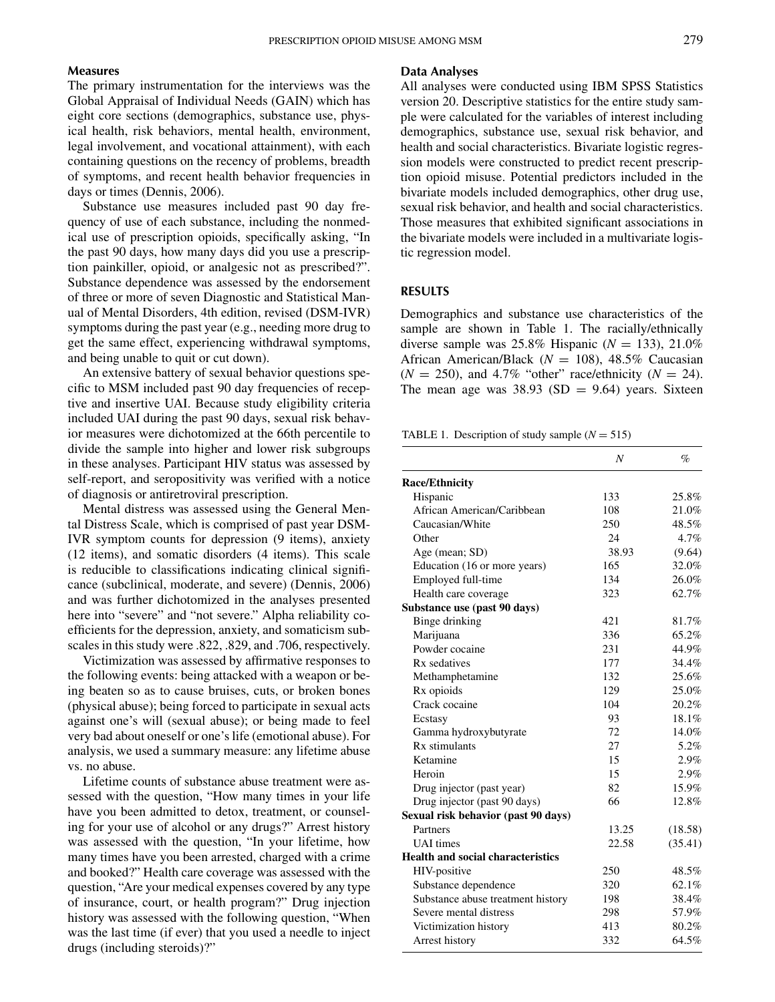#### **Measures**

The primary instrumentation for the interviews was the Global Appraisal of Individual Needs (GAIN) which has eight core sections (demographics, substance use, physical health, risk behaviors, mental health, environment, legal involvement, and vocational attainment), with each containing questions on the recency of problems, breadth of symptoms, and recent health behavior frequencies in days or times (Dennis, 2006).

Substance use measures included past 90 day frequency of use of each substance, including the nonmedical use of prescription opioids, specifically asking, "In the past 90 days, how many days did you use a prescription painkiller, opioid, or analgesic not as prescribed?". Substance dependence was assessed by the endorsement of three or more of seven Diagnostic and Statistical Manual of Mental Disorders, 4th edition, revised (DSM-IVR) symptoms during the past year (e.g., needing more drug to get the same effect, experiencing withdrawal symptoms, and being unable to quit or cut down).

An extensive battery of sexual behavior questions specific to MSM included past 90 day frequencies of receptive and insertive UAI. Because study eligibility criteria included UAI during the past 90 days, sexual risk behavior measures were dichotomized at the 66th percentile to divide the sample into higher and lower risk subgroups in these analyses. Participant HIV status was assessed by self-report, and seropositivity was verified with a notice of diagnosis or antiretroviral prescription.

Mental distress was assessed using the General Mental Distress Scale, which is comprised of past year DSM-IVR symptom counts for depression (9 items), anxiety (12 items), and somatic disorders (4 items). This scale is reducible to classifications indicating clinical significance (subclinical, moderate, and severe) (Dennis, 2006) and was further dichotomized in the analyses presented here into "severe" and "not severe." Alpha reliability coefficients for the depression, anxiety, and somaticism subscales in this study were .822, .829, and .706, respectively.

Victimization was assessed by affirmative responses to the following events: being attacked with a weapon or being beaten so as to cause bruises, cuts, or broken bones (physical abuse); being forced to participate in sexual acts against one's will (sexual abuse); or being made to feel very bad about oneself or one's life (emotional abuse). For analysis, we used a summary measure: any lifetime abuse vs. no abuse.

Lifetime counts of substance abuse treatment were assessed with the question, "How many times in your life have you been admitted to detox, treatment, or counseling for your use of alcohol or any drugs?" Arrest history was assessed with the question, "In your lifetime, how many times have you been arrested, charged with a crime and booked?" Health care coverage was assessed with the question, "Are your medical expenses covered by any type of insurance, court, or health program?" Drug injection history was assessed with the following question, "When was the last time (if ever) that you used a needle to inject drugs (including steroids)?"

#### **Data Analyses**

All analyses were conducted using IBM SPSS Statistics version 20. Descriptive statistics for the entire study sample were calculated for the variables of interest including demographics, substance use, sexual risk behavior, and health and social characteristics. Bivariate logistic regression models were constructed to predict recent prescription opioid misuse. Potential predictors included in the bivariate models included demographics, other drug use, sexual risk behavior, and health and social characteristics. Those measures that exhibited significant associations in the bivariate models were included in a multivariate logistic regression model.

#### **RESULTS**

Demographics and substance use characteristics of the sample are shown in Table 1. The racially/ethnically diverse sample was  $25.8\%$  Hispanic ( $N = 133$ ),  $21.0\%$ African American/Black (*N* = 108), 48.5% Caucasian  $(N = 250)$ , and 4.7% "other" race/ethnicity  $(N = 24)$ . The mean age was  $38.93$  (SD = 9.64) years. Sixteen

TABLE 1. Description of study sample  $(N = 515)$ 

|                                          | N     | $\%$    |
|------------------------------------------|-------|---------|
| <b>Race/Ethnicity</b>                    |       |         |
| Hispanic                                 | 133   | 25.8%   |
| African American/Caribbean               | 108   | 21.0%   |
| Caucasian/White                          | 250   | 48.5%   |
| Other                                    | 24    | 4.7%    |
| Age (mean; SD)                           | 38.93 | (9.64)  |
| Education (16 or more years)             | 165   | 32.0%   |
| Employed full-time                       | 134   | 26.0%   |
| Health care coverage                     | 323   | 62.7%   |
| Substance use (past 90 days)             |       |         |
| <b>Binge drinking</b>                    | 421   | 81.7%   |
| Marijuana                                | 336   | 65.2%   |
| Powder cocaine                           | 231   | 44.9%   |
| Rx sedatives                             | 177   | 34.4%   |
| Methamphetamine                          | 132   | 25.6%   |
| Rx opioids                               | 129   | 25.0%   |
| Crack cocaine                            | 104   | 20.2%   |
| Ecstasy                                  | 93    | 18.1%   |
| Gamma hydroxybutyrate                    | 72    | 14.0%   |
| Rx stimulants                            | 27    | 5.2%    |
| Ketamine                                 | 15    | 2.9%    |
| Heroin                                   | 15    | 2.9%    |
| Drug injector (past year)                | 82    | 15.9%   |
| Drug injector (past 90 days)             | 66    | 12.8%   |
| Sexual risk behavior (past 90 days)      |       |         |
| Partners                                 | 13.25 | (18.58) |
| <b>UAI</b> times                         | 22.58 | (35.41) |
| <b>Health and social characteristics</b> |       |         |
| HIV-positive                             | 250   | 48.5%   |
| Substance dependence                     | 320   | 62.1%   |
| Substance abuse treatment history        | 198   | 38.4%   |
| Severe mental distress                   | 298   | 57.9%   |
| Victimization history                    | 413   | 80.2%   |
| Arrest history                           | 332   | 64.5%   |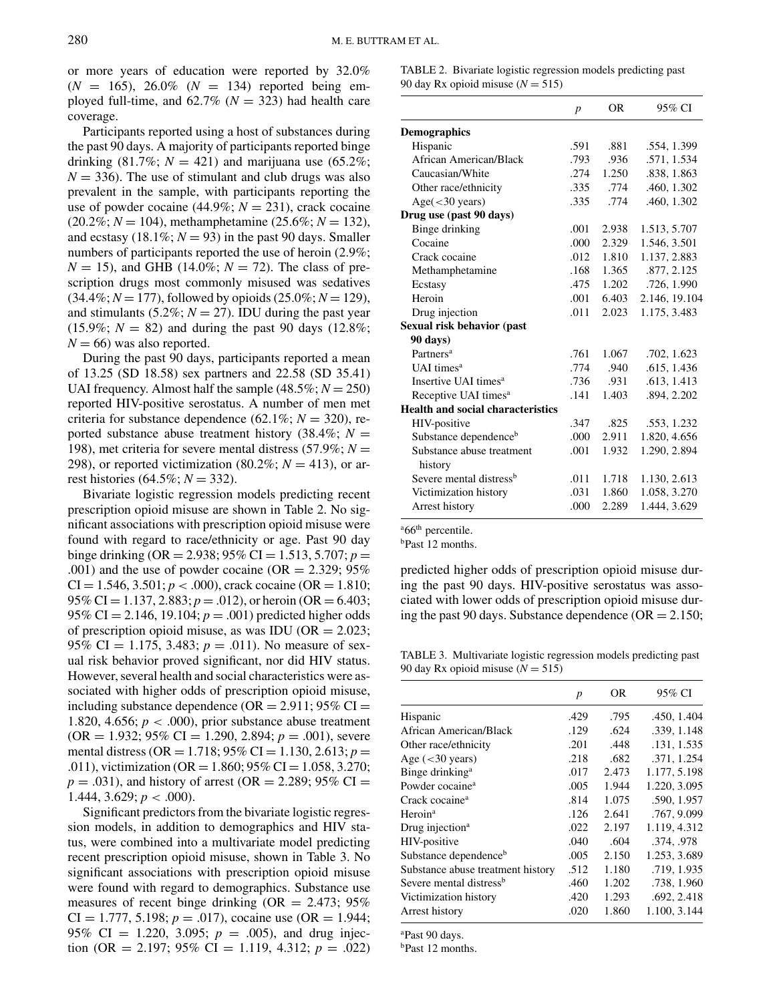or more years of education were reported by 32.0%  $(N = 165)$ , 26.0%  $(N = 134)$  reported being employed full-time, and  $62.7\%$  ( $N = 323$ ) had health care coverage.

Participants reported using a host of substances during the past 90 days. A majority of participants reported binge drinking (81.7%;  $N = 421$ ) and marijuana use (65.2%;  $N = 336$ ). The use of stimulant and club drugs was also prevalent in the sample, with participants reporting the use of powder cocaine (44.9%;  $N = 231$ ), crack cocaine  $(20.2\%; N = 104)$ , methamphetamine  $(25.6\%; N = 132)$ , and ecstasy  $(18.1\%; N = 93)$  in the past 90 days. Smaller numbers of participants reported the use of heroin (2.9%;  $N = 15$ ), and GHB (14.0%;  $N = 72$ ). The class of prescription drugs most commonly misused was sedatives  $(34.4\%; N = 177)$ , followed by opioids  $(25.0\%; N = 129)$ , and stimulants  $(5.2\%; N = 27)$ . IDU during the past year  $(15.9\%; N = 82)$  and during the past 90 days  $(12.8\%;$  $N = 66$ ) was also reported.

During the past 90 days, participants reported a mean of 13.25 (SD 18.58) sex partners and 22.58 (SD 35.41) UAI frequency. Almost half the sample  $(48.5\%; N = 250)$ reported HIV-positive serostatus. A number of men met criteria for substance dependence (62.1%;  $N = 320$ ), reported substance abuse treatment history (38.4%;  $N =$ 198), met criteria for severe mental distress  $(57.9\%; N =$ 298), or reported victimization  $(80.2\%; N = 413)$ , or arrest histories (64.5%; *N* = 332).

Bivariate logistic regression models predicting recent prescription opioid misuse are shown in Table 2. No significant associations with prescription opioid misuse were found with regard to race/ethnicity or age. Past 90 day binge drinking (OR = 2.938;  $95\%$  CI = 1.513, 5.707; *p* = .001) and the use of powder cocaine ( $OR = 2.329$ ;  $95\%$  $CI = 1.546, 3.501; p < .000$ , crack cocaine (OR = 1.810;  $95\%$  CI = 1.137, 2.883;  $p = .012$ ), or heroin (OR = 6.403; 95% CI = 2.146, 19.104;  $p = .001$ ) predicted higher odds of prescription opioid misuse, as was IDU (OR  $= 2.023$ ; 95% CI = 1.175, 3.483;  $p = .011$ ). No measure of sexual risk behavior proved significant, nor did HIV status. However, several health and social characteristics were associated with higher odds of prescription opioid misuse, including substance dependence ( $OR = 2.911$ ; 95% CI = 1.820, 4.656;  $p < .000$ ), prior substance abuse treatment  $(OR = 1.932; 95\% CI = 1.290, 2.894; p = .001)$ , severe mental distress (OR = 1.718; 95% CI = 1.130, 2.613; *p* = .011), victimization (OR =  $1.860$ ;  $95\%$  CI =  $1.058$ ,  $3.270$ ;  $p = .031$ ), and history of arrest (OR = 2.289; 95% CI = 1.444, 3.629;  $p < .000$ ).

Significant predictors from the bivariate logistic regression models, in addition to demographics and HIV status, were combined into a multivariate model predicting recent prescription opioid misuse, shown in Table 3. No significant associations with prescription opioid misuse were found with regard to demographics. Substance use measures of recent binge drinking ( $OR = 2.473$ ;  $95\%$  $CI = 1.777, 5.198; p = .017$ , cocaine use (OR = 1.944; 95% CI = 1.220, 3.095;  $p = .005$ ), and drug injection (OR = 2.197; 95% CI = 1.119, 4.312;  $p = .022$ ) TABLE 2. Bivariate logistic regression models predicting past 90 day Rx opioid misuse  $(N = 515)$ 

|                                          | $\boldsymbol{p}$ | 0 <sub>R</sub> | 95% CI        |
|------------------------------------------|------------------|----------------|---------------|
| <b>Demographics</b>                      |                  |                |               |
| Hispanic                                 | .591             | .881           | .554, 1.399   |
| African American/Black                   | .793             | .936           | .571, 1.534   |
| Caucasian/White                          | .274             | 1.250          | .838, 1.863   |
| Other race/ethnicity                     | .335             | .774           | .460, 1.302   |
| $Age(30 \text{ years})$                  | .335             | .774           | .460, 1.302   |
| Drug use (past 90 days)                  |                  |                |               |
| Binge drinking                           | .001             | 2.938          | 1.513, 5.707  |
| Cocaine                                  | .000             | 2.329          | 1.546, 3.501  |
| Crack cocaine                            | .012             | 1.810          | 1.137, 2.883  |
| Methamphetamine                          | .168             | 1.365          | .877, 2.125   |
| Ecstasy                                  | .475             | 1.202          | .726, 1.990   |
| Heroin                                   | .001             | 6.403          | 2.146, 19.104 |
| Drug injection                           | .011             | 2.023          | 1.175, 3.483  |
| Sexual risk behavior (past               |                  |                |               |
| 90 days)                                 |                  |                |               |
| Partners <sup>a</sup>                    | .761             | 1.067          | .702, 1.623   |
| UAI times <sup>a</sup>                   | .774             | .940           | .615, 1.436   |
| Insertive UAI times <sup>a</sup>         | .736             | .931           | .613, 1.413   |
| Receptive UAI times <sup>a</sup>         | .141             | 1.403          | .894, 2.202   |
| <b>Health and social characteristics</b> |                  |                |               |
| HIV-positive                             | .347             | .825           | .553, 1.232   |
| Substance dependence <sup>b</sup>        | .000             | 2.911          | 1.820, 4.656  |
| Substance abuse treatment<br>history     | .001             | 1.932          | 1.290, 2.894  |
| Severe mental distress <sup>b</sup>      | .011             | 1.718          | 1.130, 2.613  |
| Victimization history                    | .031             | 1.860          | 1.058, 3.270  |
| Arrest history                           | .000             | 2.289          | 1.444, 3.629  |

<sup>a</sup>66<sup>th</sup> percentile.

bPast 12 months.

predicted higher odds of prescription opioid misuse during the past 90 days. HIV-positive serostatus was associated with lower odds of prescription opioid misuse during the past 90 days. Substance dependence ( $OR = 2.150$ ;

TABLE 3. Multivariate logistic regression models predicting past 90 day Rx opioid misuse  $(N = 515)$ 

|                                     | p    | OR    | 95% CI       |
|-------------------------------------|------|-------|--------------|
| Hispanic                            | .429 | .795  | .450, 1.404  |
| African American/Black              | .129 | .624  | .339, 1.148  |
| Other race/ethnicity                | .201 | .448  | .131, 1.535  |
| Age $(30 years)$                    | .218 | .682  | .371.1.254   |
| Binge drinking <sup>a</sup>         | .017 | 2.473 | 1.177, 5.198 |
| Powder cocaine <sup>a</sup>         | .005 | 1.944 | 1.220, 3.095 |
| Crack cocaine <sup>a</sup>          | .814 | 1.075 | .590, 1.957  |
| Heroin <sup>a</sup>                 | .126 | 2.641 | .767, 9.099  |
| Drug injection <sup>a</sup>         | .022 | 2.197 | 1.119, 4.312 |
| HIV-positive                        | .040 | .604  | .374, .978   |
| Substance dependence <sup>b</sup>   | .005 | 2.150 | 1.253, 3.689 |
| Substance abuse treatment history   | .512 | 1.180 | .719, 1.935  |
| Severe mental distress <sup>b</sup> | .460 | 1.202 | .738, 1.960  |
| Victimization history               | .420 | 1.293 | .692, 2.418  |
| Arrest history                      | .020 | 1.860 | 1.100, 3.144 |

a Past 90 days.

bPast 12 months.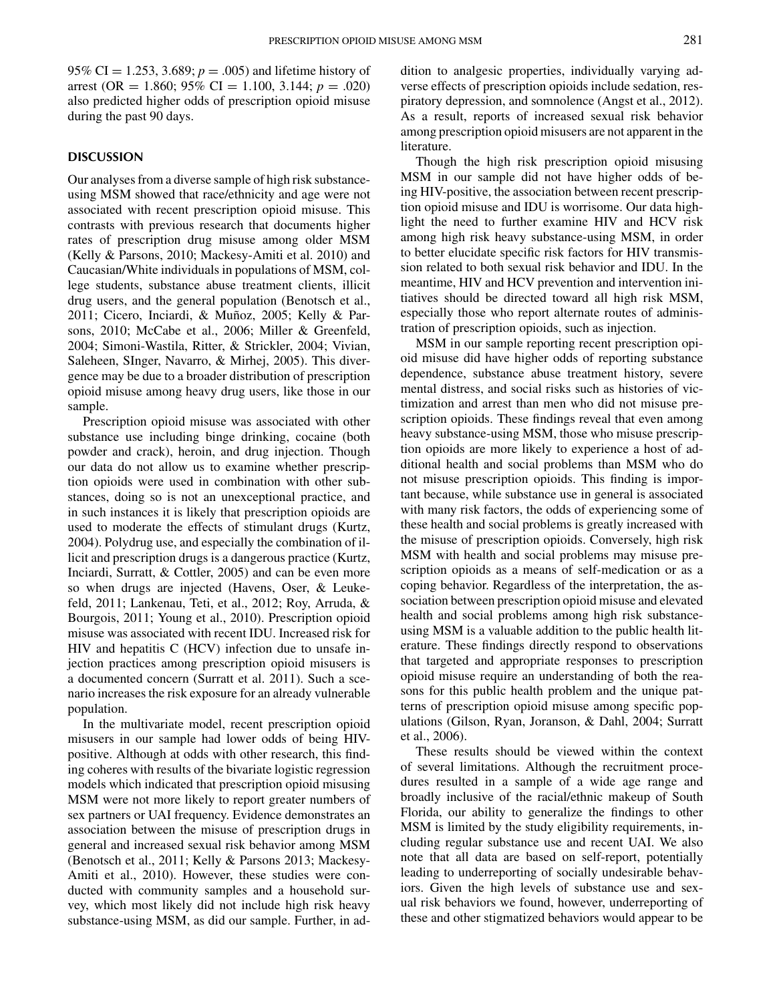95% CI = 1.253, 3.689;  $p = .005$ ) and lifetime history of arrest (OR = 1.860; 95% CI = 1.100, 3.144; *p* = .020) also predicted higher odds of prescription opioid misuse during the past 90 days.

#### **DISCUSSION**

Our analyses from a diverse sample of high risk substanceusing MSM showed that race/ethnicity and age were not associated with recent prescription opioid misuse. This contrasts with previous research that documents higher rates of prescription drug misuse among older MSM (Kelly & Parsons, 2010; Mackesy-Amiti et al. 2010) and Caucasian/White individuals in populations of MSM, college students, substance abuse treatment clients, illicit drug users, and the general population (Benotsch et al., 2011; Cicero, Inciardi, & Muñoz, 2005; Kelly & Parsons, 2010; McCabe et al., 2006; Miller & Greenfeld, 2004; Simoni-Wastila, Ritter, & Strickler, 2004; Vivian, Saleheen, SInger, Navarro, & Mirhej, 2005). This divergence may be due to a broader distribution of prescription opioid misuse among heavy drug users, like those in our sample.

Prescription opioid misuse was associated with other substance use including binge drinking, cocaine (both powder and crack), heroin, and drug injection. Though our data do not allow us to examine whether prescription opioids were used in combination with other substances, doing so is not an unexceptional practice, and in such instances it is likely that prescription opioids are used to moderate the effects of stimulant drugs (Kurtz, 2004). Polydrug use, and especially the combination of illicit and prescription drugs is a dangerous practice (Kurtz, Inciardi, Surratt, & Cottler, 2005) and can be even more so when drugs are injected (Havens, Oser, & Leukefeld, 2011; Lankenau, Teti, et al., 2012; Roy, Arruda, & Bourgois, 2011; Young et al., 2010). Prescription opioid misuse was associated with recent IDU. Increased risk for HIV and hepatitis C (HCV) infection due to unsafe injection practices among prescription opioid misusers is a documented concern (Surratt et al. 2011). Such a scenario increases the risk exposure for an already vulnerable population.

In the multivariate model, recent prescription opioid misusers in our sample had lower odds of being HIVpositive. Although at odds with other research, this finding coheres with results of the bivariate logistic regression models which indicated that prescription opioid misusing MSM were not more likely to report greater numbers of sex partners or UAI frequency. Evidence demonstrates an association between the misuse of prescription drugs in general and increased sexual risk behavior among MSM (Benotsch et al., 2011; Kelly & Parsons 2013; Mackesy-Amiti et al., 2010). However, these studies were conducted with community samples and a household survey, which most likely did not include high risk heavy substance-using MSM, as did our sample. Further, in addition to analgesic properties, individually varying adverse effects of prescription opioids include sedation, respiratory depression, and somnolence (Angst et al., 2012). As a result, reports of increased sexual risk behavior among prescription opioid misusers are not apparent in the literature.

Though the high risk prescription opioid misusing MSM in our sample did not have higher odds of being HIV-positive, the association between recent prescription opioid misuse and IDU is worrisome. Our data highlight the need to further examine HIV and HCV risk among high risk heavy substance-using MSM, in order to better elucidate specific risk factors for HIV transmission related to both sexual risk behavior and IDU. In the meantime, HIV and HCV prevention and intervention initiatives should be directed toward all high risk MSM, especially those who report alternate routes of administration of prescription opioids, such as injection.

MSM in our sample reporting recent prescription opioid misuse did have higher odds of reporting substance dependence, substance abuse treatment history, severe mental distress, and social risks such as histories of victimization and arrest than men who did not misuse prescription opioids. These findings reveal that even among heavy substance-using MSM, those who misuse prescription opioids are more likely to experience a host of additional health and social problems than MSM who do not misuse prescription opioids. This finding is important because, while substance use in general is associated with many risk factors, the odds of experiencing some of these health and social problems is greatly increased with the misuse of prescription opioids. Conversely, high risk MSM with health and social problems may misuse prescription opioids as a means of self-medication or as a coping behavior. Regardless of the interpretation, the association between prescription opioid misuse and elevated health and social problems among high risk substanceusing MSM is a valuable addition to the public health literature. These findings directly respond to observations that targeted and appropriate responses to prescription opioid misuse require an understanding of both the reasons for this public health problem and the unique patterns of prescription opioid misuse among specific populations (Gilson, Ryan, Joranson, & Dahl, 2004; Surratt et al., 2006).

These results should be viewed within the context of several limitations. Although the recruitment procedures resulted in a sample of a wide age range and broadly inclusive of the racial/ethnic makeup of South Florida, our ability to generalize the findings to other MSM is limited by the study eligibility requirements, including regular substance use and recent UAI. We also note that all data are based on self-report, potentially leading to underreporting of socially undesirable behaviors. Given the high levels of substance use and sexual risk behaviors we found, however, underreporting of these and other stigmatized behaviors would appear to be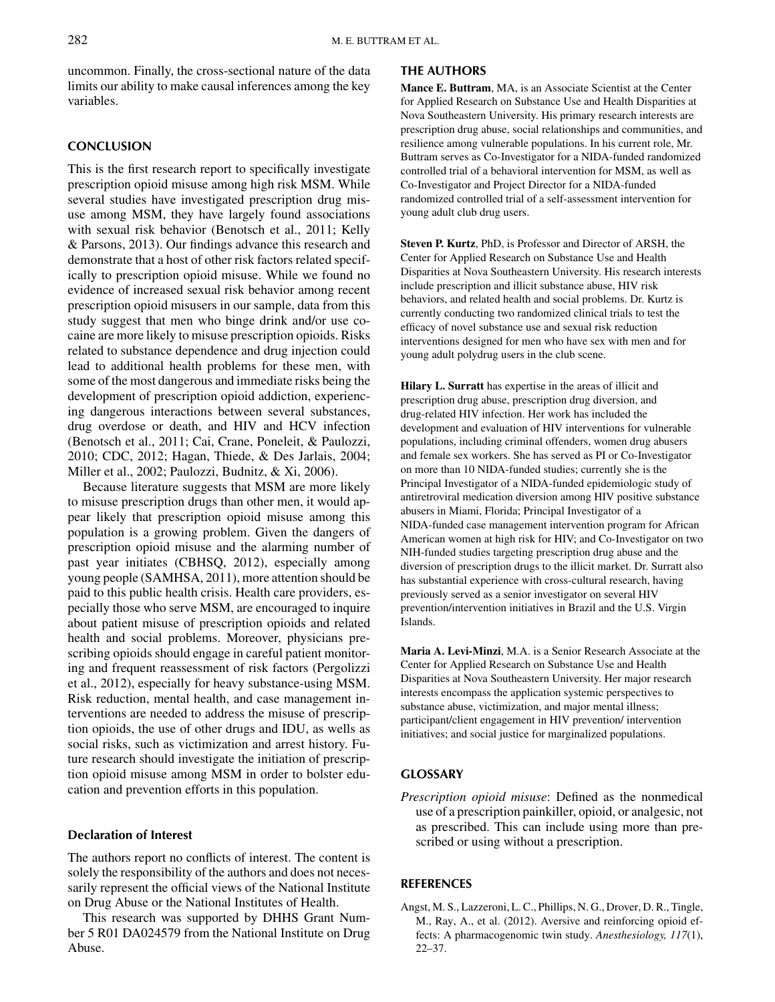uncommon. Finally, the cross-sectional nature of the data limits our ability to make causal inferences among the key variables.

### **CONCLUSION**

This is the first research report to specifically investigate prescription opioid misuse among high risk MSM. While several studies have investigated prescription drug misuse among MSM, they have largely found associations with sexual risk behavior (Benotsch et al., 2011; Kelly & Parsons, 2013). Our findings advance this research and demonstrate that a host of other risk factors related specifically to prescription opioid misuse. While we found no evidence of increased sexual risk behavior among recent prescription opioid misusers in our sample, data from this study suggest that men who binge drink and/or use cocaine are more likely to misuse prescription opioids. Risks related to substance dependence and drug injection could lead to additional health problems for these men, with some of the most dangerous and immediate risks being the development of prescription opioid addiction, experiencing dangerous interactions between several substances, drug overdose or death, and HIV and HCV infection (Benotsch et al., 2011; Cai, Crane, Poneleit, & Paulozzi, 2010; CDC, 2012; Hagan, Thiede, & Des Jarlais, 2004; Miller et al., 2002; Paulozzi, Budnitz, & Xi, 2006).

Because literature suggests that MSM are more likely to misuse prescription drugs than other men, it would appear likely that prescription opioid misuse among this population is a growing problem. Given the dangers of prescription opioid misuse and the alarming number of past year initiates (CBHSQ, 2012), especially among young people (SAMHSA, 2011), more attention should be paid to this public health crisis. Health care providers, especially those who serve MSM, are encouraged to inquire about patient misuse of prescription opioids and related health and social problems. Moreover, physicians prescribing opioids should engage in careful patient monitoring and frequent reassessment of risk factors (Pergolizzi et al., 2012), especially for heavy substance-using MSM. Risk reduction, mental health, and case management interventions are needed to address the misuse of prescription opioids, the use of other drugs and IDU, as wells as social risks, such as victimization and arrest history. Future research should investigate the initiation of prescription opioid misuse among MSM in order to bolster education and prevention efforts in this population.

#### **Declaration of Interest**

The authors report no conflicts of interest. The content is solely the responsibility of the authors and does not necessarily represent the official views of the National Institute on Drug Abuse or the National Institutes of Health.

This research was supported by DHHS Grant Number 5 R01 DA024579 from the National Institute on Drug Abuse.

#### **THE AUTHORS**

**Mance E. Buttram**, MA, is an Associate Scientist at the Center for Applied Research on Substance Use and Health Disparities at Nova Southeastern University. His primary research interests are prescription drug abuse, social relationships and communities, and resilience among vulnerable populations. In his current role, Mr. Buttram serves as Co-Investigator for a NIDA-funded randomized controlled trial of a behavioral intervention for MSM, as well as Co-Investigator and Project Director for a NIDA-funded randomized controlled trial of a self-assessment intervention for young adult club drug users.

**Steven P. Kurtz**, PhD, is Professor and Director of ARSH, the Center for Applied Research on Substance Use and Health Disparities at Nova Southeastern University. His research interests include prescription and illicit substance abuse, HIV risk behaviors, and related health and social problems. Dr. Kurtz is currently conducting two randomized clinical trials to test the efficacy of novel substance use and sexual risk reduction interventions designed for men who have sex with men and for young adult polydrug users in the club scene.

**Hilary L. Surratt** has expertise in the areas of illicit and prescription drug abuse, prescription drug diversion, and drug-related HIV infection. Her work has included the development and evaluation of HIV interventions for vulnerable populations, including criminal offenders, women drug abusers and female sex workers. She has served as PI or Co-Investigator on more than 10 NIDA-funded studies; currently she is the Principal Investigator of a NIDA-funded epidemiologic study of antiretroviral medication diversion among HIV positive substance abusers in Miami, Florida; Principal Investigator of a NIDA-funded case management intervention program for African American women at high risk for HIV; and Co-Investigator on two NIH-funded studies targeting prescription drug abuse and the diversion of prescription drugs to the illicit market. Dr. Surratt also has substantial experience with cross-cultural research, having previously served as a senior investigator on several HIV prevention/intervention initiatives in Brazil and the U.S. Virgin Islands.

**Maria A. Levi-Minzi**, M.A. is a Senior Research Associate at the Center for Applied Research on Substance Use and Health Disparities at Nova Southeastern University. Her major research interests encompass the application systemic perspectives to substance abuse, victimization, and major mental illness; participant/client engagement in HIV prevention/ intervention initiatives; and social justice for marginalized populations.

#### **GLOSSARY**

*Prescription opioid misuse*: Defined as the nonmedical use of a prescription painkiller, opioid, or analgesic, not as prescribed. This can include using more than prescribed or using without a prescription.

#### **REFERENCES**

Angst, M. S., Lazzeroni, L. C., Phillips, N. G., Drover, D. R., Tingle, M., Ray, A., et al. (2012). Aversive and reinforcing opioid effects: A pharmacogenomic twin study. *Anesthesiology, 117*(1), 22–37.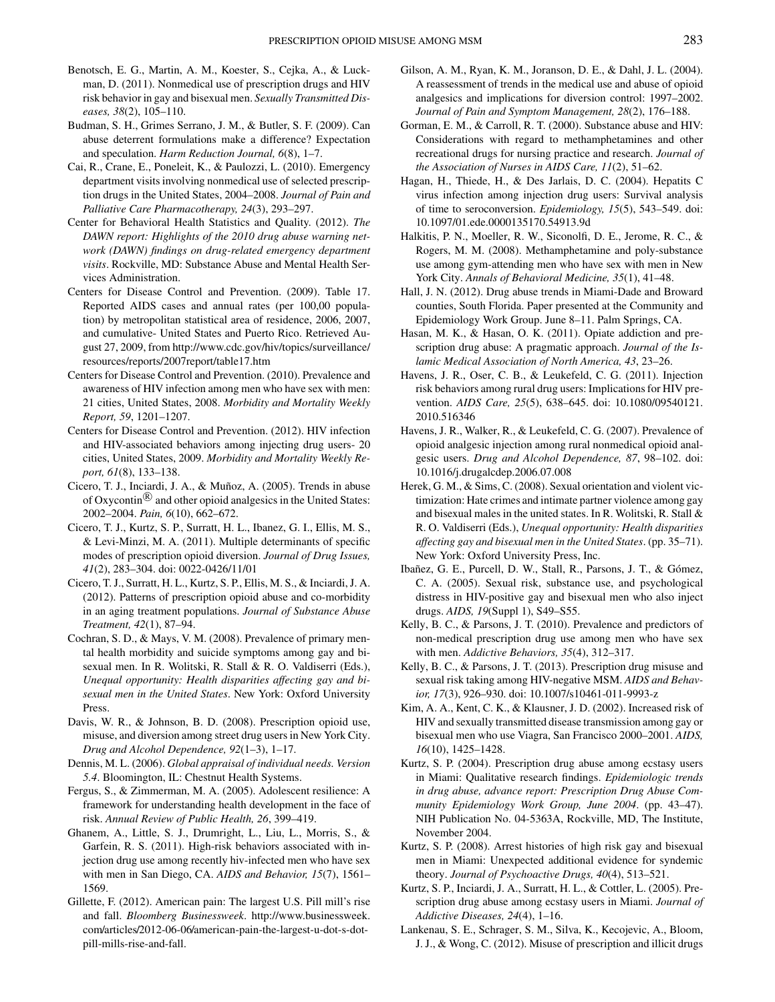- Benotsch, E. G., Martin, A. M., Koester, S., Cejka, A., & Luckman, D. (2011). Nonmedical use of prescription drugs and HIV risk behavior in gay and bisexual men. *Sexually Transmitted Diseases, 38*(2), 105–110.
- Budman, S. H., Grimes Serrano, J. M., & Butler, S. F. (2009). Can abuse deterrent formulations make a difference? Expectation and speculation. *Harm Reduction Journal, 6*(8), 1–7.
- Cai, R., Crane, E., Poneleit, K., & Paulozzi, L. (2010). Emergency department visits involving nonmedical use of selected prescription drugs in the United States, 2004–2008. *Journal of Pain and Palliative Care Pharmacotherapy, 24*(3), 293–297.
- Center for Behavioral Health Statistics and Quality. (2012). *The DAWN report: Highlights of the 2010 drug abuse warning network (DAWN) findings on drug-related emergency department visits*. Rockville, MD: Substance Abuse and Mental Health Services Administration.
- Centers for Disease Control and Prevention. (2009). Table 17. Reported AIDS cases and annual rates (per 100,00 population) by metropolitan statistical area of residence, 2006, 2007, and cumulative- United States and Puerto Rico. Retrieved August 27, 2009, from http://www.cdc.gov/hiv/topics/surveillance/ resources/reports/2007report/table17.htm
- Centers for Disease Control and Prevention. (2010). Prevalence and awareness of HIV infection among men who have sex with men: 21 cities, United States, 2008. *Morbidity and Mortality Weekly Report, 59*, 1201–1207.
- Centers for Disease Control and Prevention. (2012). HIV infection and HIV-associated behaviors among injecting drug users- 20 cities, United States, 2009. *Morbidity and Mortality Weekly Report, 61*(8), 133–138.
- Cicero, T. J., Inciardi, J. A., & Muñoz, A. (2005). Trends in abuse of Oxycontin<sup>(8)</sup> and other opioid analgesics in the United States: 2002–2004. *Pain, 6*(10), 662–672.
- Cicero, T. J., Kurtz, S. P., Surratt, H. L., Ibanez, G. I., Ellis, M. S., & Levi-Minzi, M. A. (2011). Multiple determinants of specific modes of prescription opioid diversion. *Journal of Drug Issues, 41*(2), 283–304. doi: 0022-0426/11/01
- Cicero, T. J., Surratt, H. L., Kurtz, S. P., Ellis, M. S., & Inciardi, J. A. (2012). Patterns of prescription opioid abuse and co-morbidity in an aging treatment populations. *Journal of Substance Abuse Treatment, 42*(1), 87–94.
- Cochran, S. D., & Mays, V. M. (2008). Prevalence of primary mental health morbidity and suicide symptoms among gay and bisexual men. In R. Wolitski, R. Stall & R. O. Valdiserri (Eds.), *Unequal opportunity: Health disparities affecting gay and bisexual men in the United States*. New York: Oxford University Press.
- Davis, W. R., & Johnson, B. D. (2008). Prescription opioid use, misuse, and diversion among street drug users in New York City. *Drug and Alcohol Dependence, 92*(1–3), 1–17.
- Dennis, M. L. (2006). *Global appraisal of individual needs. Version 5.4*. Bloomington, IL: Chestnut Health Systems.
- Fergus, S., & Zimmerman, M. A. (2005). Adolescent resilience: A framework for understanding health development in the face of risk. *Annual Review of Public Health, 26*, 399–419.
- Ghanem, A., Little, S. J., Drumright, L., Liu, L., Morris, S., & Garfein, R. S. (2011). High-risk behaviors associated with injection drug use among recently hiv-infected men who have sex with men in San Diego, CA. *AIDS and Behavior, 15*(7), 1561– 1569.
- Gillette, F. (2012). American pain: The largest U.S. Pill mill's rise and fall. *Bloomberg Businessweek*. http://www.businessweek. com/articles/2012-06-06/american-pain-the-largest-u-dot-s-dotpill-mills-rise-and-fall.
- Gilson, A. M., Ryan, K. M., Joranson, D. E., & Dahl, J. L. (2004). A reassessment of trends in the medical use and abuse of opioid analgesics and implications for diversion control: 1997–2002. *Journal of Pain and Symptom Management, 28*(2), 176–188.
- Gorman, E. M., & Carroll, R. T. (2000). Substance abuse and HIV: Considerations with regard to methamphetamines and other recreational drugs for nursing practice and research. *Journal of the Association of Nurses in AIDS Care, 11*(2), 51–62.
- Hagan, H., Thiede, H., & Des Jarlais, D. C. (2004). Hepatits C virus infection among injection drug users: Survival analysis of time to seroconversion. *Epidemiology, 15*(5), 543–549. doi: 10.1097/01.ede.0000135170.54913.9d
- Halkitis, P. N., Moeller, R. W., Siconolfi, D. E., Jerome, R. C., & Rogers, M. M. (2008). Methamphetamine and poly-substance use among gym-attending men who have sex with men in New York City. *Annals of Behavioral Medicine, 35*(1), 41–48.
- Hall, J. N. (2012). Drug abuse trends in Miami-Dade and Broward counties, South Florida. Paper presented at the Community and Epidemiology Work Group. June 8–11. Palm Springs, CA.
- Hasan, M. K., & Hasan, O. K. (2011). Opiate addiction and prescription drug abuse: A pragmatic approach. *Journal of the Islamic Medical Association of North America, 43*, 23–26.
- Havens, J. R., Oser, C. B., & Leukefeld, C. G. (2011). Injection risk behaviors among rural drug users: Implications for HIV prevention. *AIDS Care, 25*(5), 638–645. doi: 10.1080/09540121. 2010.516346
- Havens, J. R., Walker, R., & Leukefeld, C. G. (2007). Prevalence of opioid analgesic injection among rural nonmedical opioid analgesic users. *Drug and Alcohol Dependence, 87*, 98–102. doi: 10.1016/j.drugalcdep.2006.07.008
- Herek, G. M., & Sims, C. (2008). Sexual orientation and violent victimization: Hate crimes and intimate partner violence among gay and bisexual males in the united states. In R. Wolitski, R. Stall & R. O. Valdiserri (Eds.), *Unequal opportunity: Health disparities affecting gay and bisexual men in the United States*. (pp. 35–71). New York: Oxford University Press, Inc.
- Ibañez, G. E., Purcell, D. W., Stall, R., Parsons, J. T., & Gómez, C. A. (2005). Sexual risk, substance use, and psychological distress in HIV-positive gay and bisexual men who also inject drugs. *AIDS, 19*(Suppl 1), S49–S55.
- Kelly, B. C., & Parsons, J. T. (2010). Prevalence and predictors of non-medical prescription drug use among men who have sex with men. *Addictive Behaviors, 35*(4), 312–317.
- Kelly, B. C., & Parsons, J. T. (2013). Prescription drug misuse and sexual risk taking among HIV-negative MSM. *AIDS and Behavior, 17*(3), 926–930. doi: 10.1007/s10461-011-9993-z
- Kim, A. A., Kent, C. K., & Klausner, J. D. (2002). Increased risk of HIV and sexually transmitted disease transmission among gay or bisexual men who use Viagra, San Francisco 2000–2001. *AIDS, 16*(10), 1425–1428.
- Kurtz, S. P. (2004). Prescription drug abuse among ecstasy users in Miami: Qualitative research findings. *Epidemiologic trends in drug abuse, advance report: Prescription Drug Abuse Community Epidemiology Work Group, June 2004*. (pp. 43–47). NIH Publication No. 04-5363A, Rockville, MD, The Institute, November 2004.
- Kurtz, S. P. (2008). Arrest histories of high risk gay and bisexual men in Miami: Unexpected additional evidence for syndemic theory. *Journal of Psychoactive Drugs, 40*(4), 513–521.
- Kurtz, S. P., Inciardi, J. A., Surratt, H. L., & Cottler, L. (2005). Prescription drug abuse among ecstasy users in Miami. *Journal of Addictive Diseases, 24*(4), 1–16.
- Lankenau, S. E., Schrager, S. M., Silva, K., Kecojevic, A., Bloom, J. J., & Wong, C. (2012). Misuse of prescription and illicit drugs